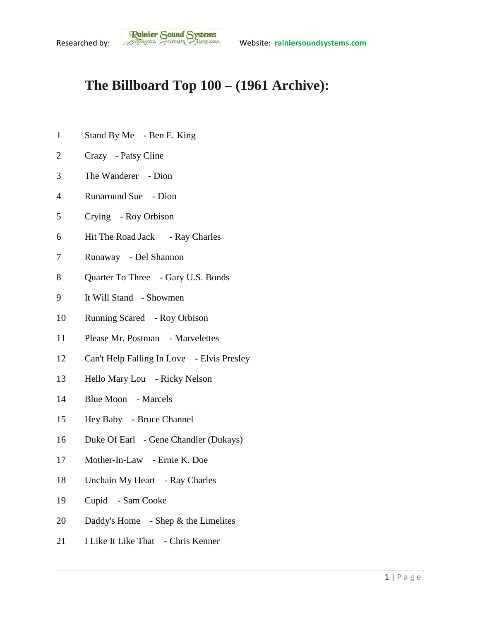## **The Billboard Top 100 – (1961 Archive):**

- Stand By Me Ben E. King
- Crazy Patsy Cline
- The Wanderer Dion
- Runaround Sue Dion
- Crying Roy Orbison
- Hit The Road Jack Ray Charles
- Runaway Del Shannon
- Quarter To Three Gary U.S. Bonds
- It Will Stand Showmen
- Running Scared Roy Orbison
- Please Mr. Postman Marvelettes
- Can't Help Falling In Love Elvis Presley
- Hello Mary Lou Ricky Nelson
- Blue Moon Marcels
- Hey Baby Bruce Channel
- Duke Of Earl Gene Chandler (Dukays)
- Mother-In-Law Ernie K. Doe
- Unchain My Heart Ray Charles
- Cupid Sam Cooke
- 20 Daddy's Home Shep & the Limelites
- I Like It Like That Chris Kenner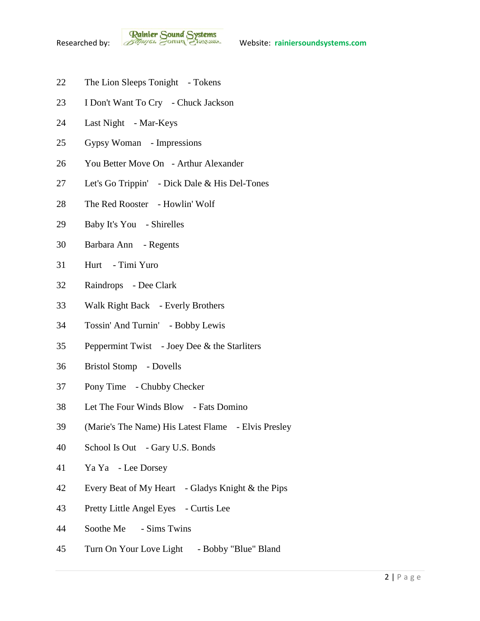- 22 The Lion Sleeps Tonight Tokens
- I Don't Want To Cry Chuck Jackson
- Last Night Mar-Keys
- Gypsy Woman Impressions
- You Better Move On Arthur Alexander
- Let's Go Trippin' Dick Dale & His Del-Tones
- The Red Rooster Howlin' Wolf
- Baby It's You Shirelles
- Barbara Ann Regents
- Hurt Timi Yuro
- Raindrops Dee Clark
- Walk Right Back Everly Brothers
- Tossin' And Turnin' Bobby Lewis
- Peppermint Twist Joey Dee & the Starliters
- Bristol Stomp Dovells
- Pony Time Chubby Checker
- Let The Four Winds Blow Fats Domino
- (Marie's The Name) His Latest Flame Elvis Presley
- School Is Out Gary U.S. Bonds
- Ya Ya Lee Dorsey
- Every Beat of My Heart Gladys Knight & the Pips
- Pretty Little Angel Eyes Curtis Lee
- Soothe Me Sims Twins
- Turn On Your Love Light Bobby "Blue" Bland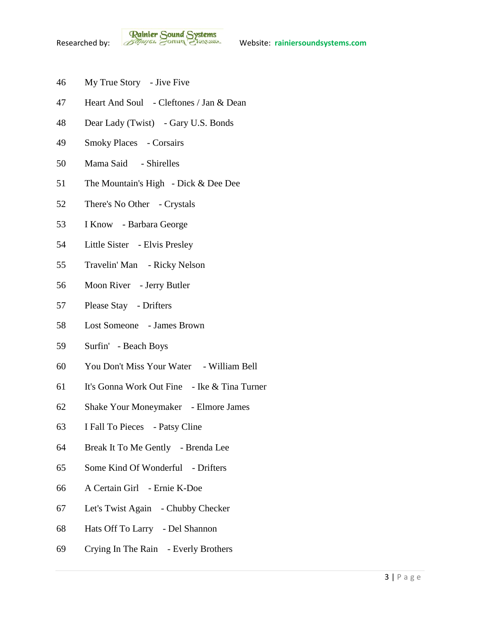- My True Story Jive Five
- Heart And Soul Cleftones / Jan & Dean
- Dear Lady (Twist) Gary U.S. Bonds
- Smoky Places Corsairs
- Mama Said Shirelles
- The Mountain's High Dick & Dee Dee
- There's No Other Crystals
- I Know Barbara George
- Little Sister Elvis Presley
- Travelin' Man Ricky Nelson
- Moon River Jerry Butler
- Please Stay Drifters
- Lost Someone James Brown
- Surfin' Beach Boys
- You Don't Miss Your Water William Bell
- It's Gonna Work Out Fine Ike & Tina Turner
- Shake Your Moneymaker Elmore James
- I Fall To Pieces Patsy Cline
- Break It To Me Gently Brenda Lee
- Some Kind Of Wonderful Drifters
- A Certain Girl Ernie K-Doe
- Let's Twist Again Chubby Checker
- Hats Off To Larry Del Shannon
- Crying In The Rain Everly Brothers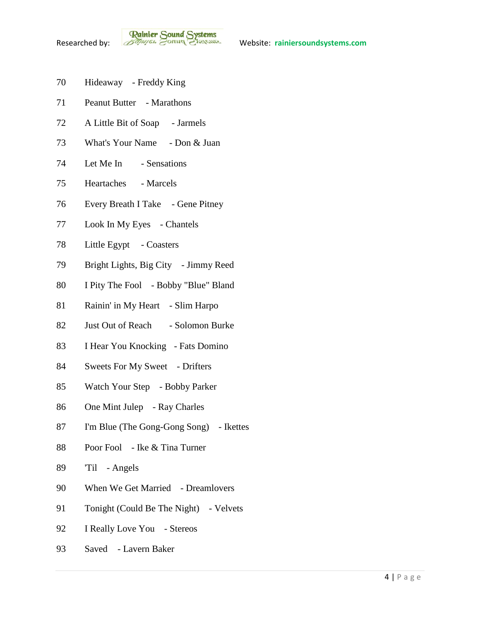- Hideaway Freddy King
- Peanut Butter Marathons
- A Little Bit of Soap Jarmels
- What's Your Name Don & Juan
- Let Me In Sensations
- Heartaches Marcels
- Every Breath I Take Gene Pitney
- 77 Look In My Eyes Chantels
- Little Egypt Coasters
- Bright Lights, Big City Jimmy Reed
- I Pity The Fool Bobby "Blue" Bland
- 81 Rainin' in My Heart Slim Harpo
- 82 Just Out of Reach Solomon Burke
- I Hear You Knocking Fats Domino
- Sweets For My Sweet Drifters
- Watch Your Step Bobby Parker
- One Mint Julep Ray Charles
- I'm Blue (The Gong-Gong Song) Ikettes
- Poor Fool Ike & Tina Turner
- 'Til Angels
- 90 When We Get Married Dreamlovers
- 91 Tonight (Could Be The Night) Velvets
- 92 I Really Love You Stereos
- Saved Lavern Baker